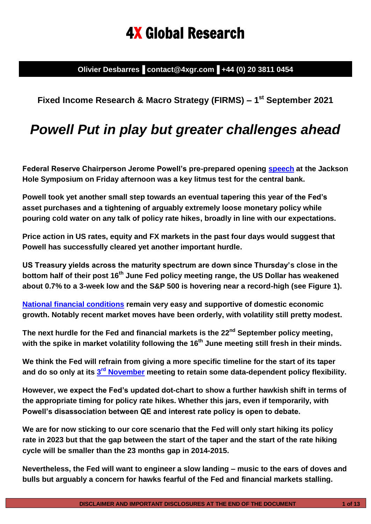# 4X Global Research

**Olivier Desbarres▐ contact@4xgr.com▐ +44 (0) 20 3811 0454**

**Fixed Income Research & Macro Strategy (FIRMS) – 1 st September 2021**

## *Powell Put in play but greater challenges ahead*

**Federal Reserve Chairperson Jerome Powell's pre-prepared opening [speech](https://www.federalreserve.gov/newsevents/speech/powell20210827a.htm) at the Jackson Hole Symposium on Friday afternoon was a key litmus test for the central bank.** 

**Powell took yet another small step towards an eventual tapering this year of the Fed's asset purchases and a tightening of arguably extremely loose monetary policy while pouring cold water on any talk of policy rate hikes, broadly in line with our expectations.** 

**Price action in US rates, equity and FX markets in the past four days would suggest that Powell has successfully cleared yet another important hurdle.**

**US Treasury yields across the maturity spectrum are down since Thursday's close in the bottom half of their post 16th June Fed policy meeting range, the US Dollar has weakened about 0.7% to a 3-week low and the S&P 500 is hovering near a record-high (see Figure 1).** 

**[National financial conditions](https://www.chicagofed.org/publications/nfci/index) remain very easy and supportive of domestic economic growth. Notably recent market moves have been orderly, with volatility still pretty modest.**

**The next hurdle for the Fed and financial markets is the 22nd September policy meeting, with the spike in market volatility following the 16 th June meeting still fresh in their minds.**

**We think the Fed will refrain from giving a more specific timeline for the start of its taper and do so only at its 3 rd [November](https://www.federalreserve.gov/monetarypolicy/fomccalendars.htm) meeting to retain some data-dependent policy flexibility.**

**However, we expect the Fed's updated dot-chart to show a further hawkish shift in terms of the appropriate timing for policy rate hikes. Whether this jars, even if temporarily, with Powell's disassociation between QE and interest rate policy is open to debate.**

**We are for now sticking to our core scenario that the Fed will only start hiking its policy rate in 2023 but that the gap between the start of the taper and the start of the rate hiking cycle will be smaller than the 23 months gap in 2014-2015.**

**Nevertheless, the Fed will want to engineer a slow landing – music to the ears of doves and bulls but arguably a concern for hawks fearful of the Fed and financial markets stalling.**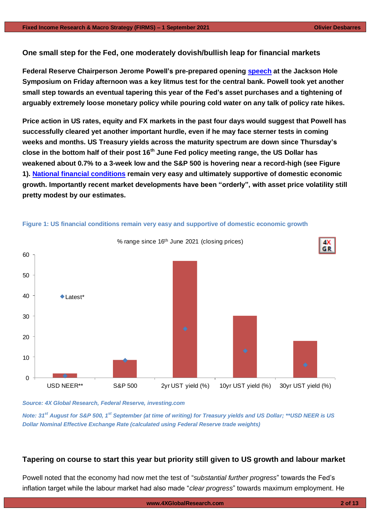**One small step for the Fed, one moderately dovish/bullish leap for financial markets**

**Federal Reserve Chairperson Jerome Powell's pre-prepared opening [speech](https://www.federalreserve.gov/newsevents/speech/powell20210827a.htm) at the Jackson Hole Symposium on Friday afternoon was a key litmus test for the central bank. Powell took yet another small step towards an eventual tapering this year of the Fed's asset purchases and a tightening of arguably extremely loose monetary policy while pouring cold water on any talk of policy rate hikes.**

**Price action in US rates, equity and FX markets in the past four days would suggest that Powell has successfully cleared yet another important hurdle, even if he may face sterner tests in coming weeks and months. US Treasury yields across the maturity spectrum are down since Thursday's close in the bottom half of their post 16th June Fed policy meeting range, the US Dollar has weakened about 0.7% to a 3-week low and the S&P 500 is hovering near a record-high (see Figure 1). [National financial conditions](https://www.chicagofed.org/publications/nfci/index) remain very easy and ultimately supportive of domestic economic growth. Importantly recent market developments have been "orderly", with asset price volatility still pretty modest by our estimates.**



### **Figure 1: US financial conditions remain very easy and supportive of domestic economic growth**

*Source: 4X Global Research, Federal Reserve, investing.com*

*Note: 31st August for S&P 500, 1st September (at time of writing) for Treasury yields and US Dollar; \*\*USD NEER is US Dollar Nominal Effective Exchange Rate (calculated using Federal Reserve trade weights)*

## **Tapering on course to start this year but priority still given to US growth and labour market**

Powell noted that the economy had now met the test of "*substantial further progress*" towards the Fed's inflation target while the labour market had also made "*clear progress*" towards maximum employment. He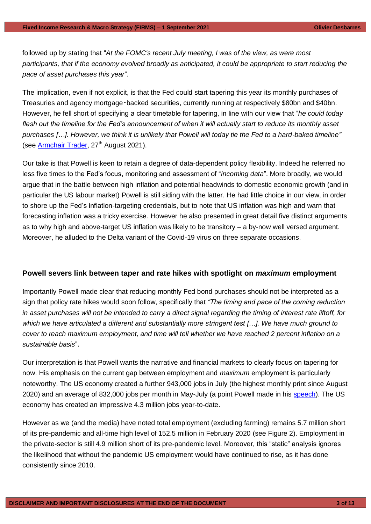followed up by stating that "*At the FOMC's recent July meeting, I was of the view, as were most participants, that if the economy evolved broadly as anticipated, it could be appropriate to start reducing the pace of asset purchases this year*".

The implication, even if not explicit, is that the Fed could start tapering this year its monthly purchases of Treasuries and agency mortgage‑backed securities, currently running at respectively \$80bn and \$40bn. However, he fell short of specifying a clear timetable for tapering, in line with our view that "*he could today flesh out the timeline for the Fed's announcement of when it will actually start to reduce its monthly asset purchases […]. However, we think it is unlikely that Powell will today tie the Fed to a hard-baked timeline"* (see [Armchair Trader,](https://www.thearmchairtrader.com/jackson-hole-2021-central-bank-leaders/)  $27<sup>th</sup>$  August 2021).

Our take is that Powell is keen to retain a degree of data-dependent policy flexibility. Indeed he referred no less five times to the Fed's focus, monitoring and assessment of "*incoming data*". More broadly, we would argue that in the battle between high inflation and potential headwinds to domestic economic growth (and in particular the US labour market) Powell is still siding with the latter. He had little choice in our view, in order to shore up the Fed's inflation-targeting credentials, but to note that US inflation was high and warn that forecasting inflation was a tricky exercise. However he also presented in great detail five distinct arguments as to why high and above-target US inflation was likely to be transitory – a by-now well versed argument. Moreover, he alluded to the Delta variant of the Covid-19 virus on three separate occasions.

## **Powell severs link between taper and rate hikes with spotlight on** *maximum* **employment**

Importantly Powell made clear that reducing monthly Fed bond purchases should not be interpreted as a sign that policy rate hikes would soon follow, specifically that *"The timing and pace of the coming reduction in asset purchases will not be intended to carry a direct signal regarding the timing of interest rate liftoff, for which we have articulated a different and substantially more stringent test […]. We have much ground to cover to reach maximum employment, and time will tell whether we have reached 2 percent inflation on a sustainable basis*".

Our interpretation is that Powell wants the narrative and financial markets to clearly focus on tapering for now. His emphasis on the current gap between employment and *maximum* employment is particularly noteworthy. The US economy created a further 943,000 jobs in July (the highest monthly print since August 2020) and an average of 832,000 jobs per month in May-July (a point Powell made in his [speech\)](https://www.federalreserve.gov/newsevents/speech/powell20210827a.htm). The US economy has created an impressive 4.3 million jobs year-to-date.

However as we (and the media) have noted total employment (excluding farming) remains 5.7 million short of its pre-pandemic and all-time high level of 152.5 million in February 2020 (see Figure 2). Employment in the private-sector is still 4.9 million short of its pre-pandemic level. Moreover, this "static" analysis ignores the likelihood that without the pandemic US employment would have continued to rise, as it has done consistently since 2010.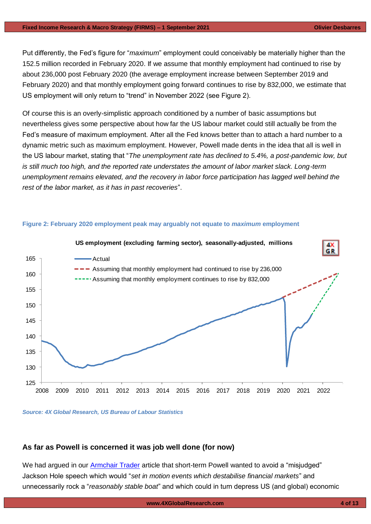#### **Fixed Income Research & Macro Strategy (FIRMS) – 1 September 2021 Olivier Desbarres**

Put differently, the Fed's figure for "*maximum*" employment could conceivably be materially higher than the 152.5 million recorded in February 2020. If we assume that monthly employment had continued to rise by about 236,000 post February 2020 (the average employment increase between September 2019 and February 2020) and that monthly employment going forward continues to rise by 832,000, we estimate that US employment will only return to "trend" in November 2022 (see Figure 2).

Of course this is an overly-simplistic approach conditioned by a number of basic assumptions but nevertheless gives some perspective about how far the US labour market could still actually be from the Fed's measure of maximum employment. After all the Fed knows better than to attach a hard number to a dynamic metric such as maximum employment. However, Powell made dents in the idea that all is well in the US labour market, stating that "*The unemployment rate has declined to 5.4%, a post-pandemic low, but is still much too high, and the reported rate understates the amount of labor market slack. Long-term unemployment remains elevated, and the recovery in labor force participation has lagged well behind the rest of the labor market, as it has in past recoveries*".



## **Figure 2: February 2020 employment peak may arguably not equate to** *maximum* **employment**

#### *Source: 4X Global Research, US Bureau of Labour Statistics*

## **As far as Powell is concerned it was job well done (for now)**

We had argued in our [Armchair Trader](https://www.thearmchairtrader.com/jackson-hole-2021-central-bank-leaders/) article that short-term Powell wanted to avoid a "misjudged" Jackson Hole speech which would "*set in motion events which destabilise financial markets*" and unnecessarily rock a "*reasonably stable boat*" and which could in turn depress US (and global) economic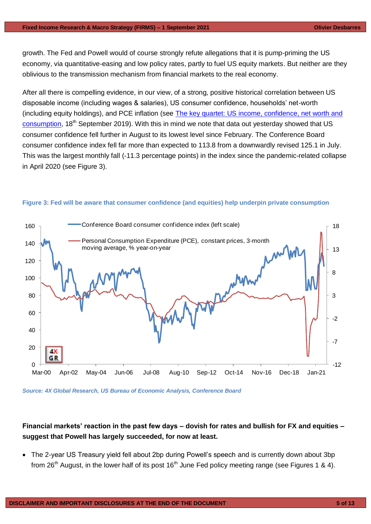growth. The Fed and Powell would of course strongly refute allegations that it is pump-priming the US economy, via quantitative-easing and low policy rates, partly to fuel US equity markets. But neither are they oblivious to the transmission mechanism from financial markets to the real economy.

After all there is compelling evidence, in our view, of a strong, positive historical correlation between US disposable income (including wages & salaries), US consumer confidence, households' net-worth (including equity holdings), and PCE inflation (see [The key quartet: US income, confidence, net worth and](https://gallery.mailchimp.com/948838a86ce72ab6d8019a39d/files/c09adf3c-3f2b-4f46-94fc-006835409bec/4X_Global_Research_The_key_quartet__US_income_confidence_net_worth_and_consumption.pdf)  [consumption,](https://gallery.mailchimp.com/948838a86ce72ab6d8019a39d/files/c09adf3c-3f2b-4f46-94fc-006835409bec/4X_Global_Research_The_key_quartet__US_income_confidence_net_worth_and_consumption.pdf) 18<sup>th</sup> September 2019). With this in mind we note that data out yesterday showed that US consumer confidence fell further in August to its lowest level since February. The Conference Board consumer confidence index fell far more than expected to 113.8 from a downwardly revised 125.1 in July. This was the largest monthly fall (-11.3 percentage points) in the index since the pandemic-related collapse in April 2020 (see Figure 3).



## **Figure 3: Fed will be aware that consumer confidence (and equities) help underpin private consumption**

*Source: 4X Global Research, US Bureau of Economic Analysis, Conference Board*

## **Financial markets' reaction in the past few days – dovish for rates and bullish for FX and equities – suggest that Powell has largely succeeded, for now at least.**

• The 2-year US Treasury yield fell about 2bp during Powell's speech and is currently down about 3bp from 26<sup>th</sup> August, in the lower half of its post 16<sup>th</sup> June Fed policy meeting range (see Figures 1 & 4).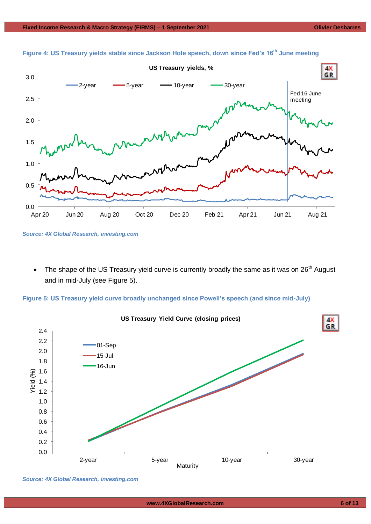

**Figure 4: US Treasury yields stable since Jackson Hole speech, down since Fed's 16th June meeting**

The shape of the US Treasury yield curve is currently broadly the same as it was on  $26<sup>th</sup>$  August and in mid-July (see Figure 5).

**Figure 5: US Treasury yield curve broadly unchanged since Powell's speech (and since mid-July)**



*Source: 4X Global Research, investing.com*

*Source: 4X Global Research, investing.com*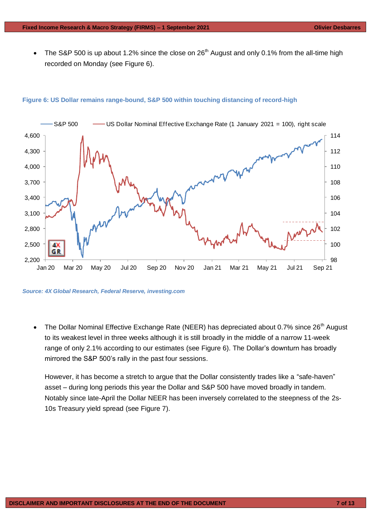• The S&P 500 is up about 1.2% since the close on 26<sup>th</sup> August and only 0.1% from the all-time high recorded on Monday (see Figure 6).

## 98 100 102 104 106 108 110 112 114 2,200 2,500 2,800 3,100 3,400 3,700 4,000 4,300 4,600 Jan 20 Mar 20 May 20 Jul 20 Sep 20 Nov 20 Jan 21 Mar 21 May 21 Jul 21 Sep 21 S&P 500 – US Dollar Nominal Effective Exchange Rate (1 January 2021 = 100), right scale

## **Figure 6: US Dollar remains range-bound, S&P 500 within touching distancing of record-high**

*Source: 4X Global Research, Federal Reserve, investing.com*

The Dollar Nominal Effective Exchange Rate (NEER) has depreciated about 0.7% since 26<sup>th</sup> August to its weakest level in three weeks although it is still broadly in the middle of a narrow 11-week range of only 2.1% according to our estimates (see Figure 6). The Dollar's downturn has broadly mirrored the S&P 500's rally in the past four sessions.

However, it has become a stretch to argue that the Dollar consistently trades like a "safe-haven" asset – during long periods this year the Dollar and S&P 500 have moved broadly in tandem. Notably since late-April the Dollar NEER has been inversely correlated to the steepness of the 2s-10s Treasury yield spread (see Figure 7).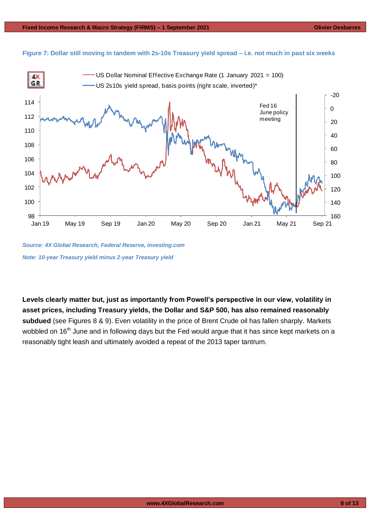



*Source: 4X Global Research, Federal Reserve, investing.com Note: 10-year Treasury yield minus 2-year Treasury yield* 

**Levels clearly matter but, just as importantly from Powell's perspective in our view, volatility in asset prices, including Treasury yields, the Dollar and S&P 500, has also remained reasonably subdued** (see Figures 8 & 9). Even volatility in the price of Brent Crude oil has fallen sharply. Markets wobbled on 16<sup>th</sup> June and in following days but the Fed would argue that it has since kept markets on a reasonably tight leash and ultimately avoided a repeat of the 2013 taper tantrum.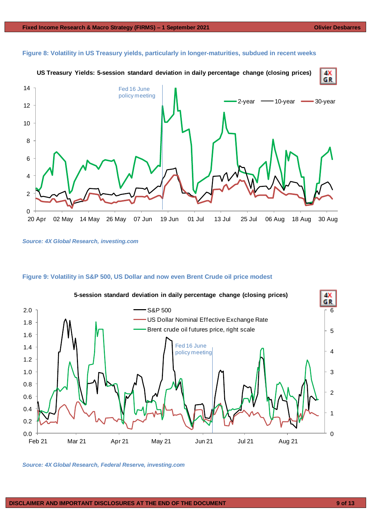

#### **Figure 8: Volatility in US Treasury yields, particularly in longer-maturities, subdued in recent weeks**

*Source: 4X Global Research, investing.com*

## **Figure 9: Volatility in S&P 500, US Dollar and now even Brent Crude oil price modest**



*Source: 4X Global Research, Federal Reserve, investing.com*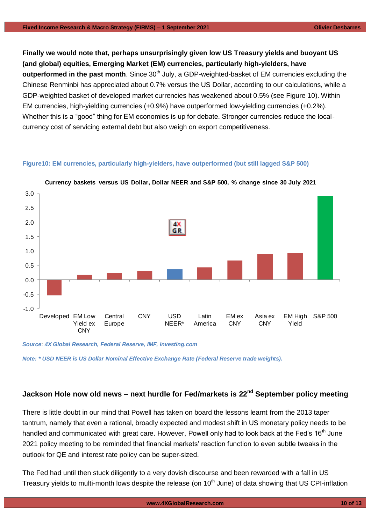**Finally we would note that, perhaps unsurprisingly given low US Treasury yields and buoyant US (and global) equities, Emerging Market (EM) currencies, particularly high-yielders, have outperformed in the past month**. Since 30<sup>th</sup> July, a GDP-weighted-basket of EM currencies excluding the Chinese Renminbi has appreciated about 0.7% versus the US Dollar, according to our calculations, while a GDP-weighted basket of developed market currencies has weakened about 0.5% (see Figure 10). Within EM currencies, high-yielding currencies (+0.9%) have outperformed low-yielding currencies (+0.2%). Whether this is a "good" thing for EM economies is up for debate. Stronger currencies reduce the localcurrency cost of servicing external debt but also weigh on export competitiveness.

## **Figure10: EM currencies, particularly high-yielders, have outperformed (but still lagged S&P 500)**



**Currency baskets versus US Dollar, Dollar NEER and S&P 500, % change since 30 July 2021**

*Source*: *4X Global Research, Federal Reserve, IMF, investing.com*

*Note: \* USD NEER is US Dollar Nominal Effective Exchange Rate (Federal Reserve trade weights).*

## **Jackson Hole now old news – next hurdle for Fed/markets is 22nd September policy meeting**

There is little doubt in our mind that Powell has taken on board the lessons learnt from the 2013 taper tantrum, namely that even a rational, broadly expected and modest shift in US monetary policy needs to be handled and communicated with great care. However, Powell only had to look back at the Fed's 16<sup>th</sup> June 2021 policy meeting to be reminded that financial markets' reaction function to even subtle tweaks in the outlook for QE and interest rate policy can be super-sized.

The Fed had until then stuck diligently to a very dovish discourse and been rewarded with a fall in US Treasury yields to multi-month lows despite the release (on 10<sup>th</sup> June) of data showing that US CPI-inflation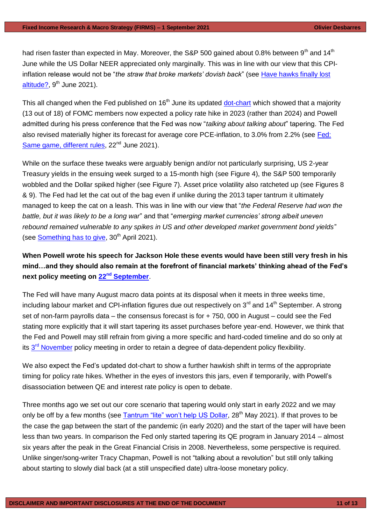had risen faster than expected in May. Moreover, the S&P 500 gained about 0.8% between  $9<sup>th</sup>$  and 14<sup>th</sup> June while the US Dollar NEER appreciated only marginally. This was in line with our view that this CPIinflation release would not be "*the straw that broke markets' dovish back*" (see [Have hawks finally lost](https://www.4xglobalresearch.com/wp-content/uploads/2021/06/4X-Global-Research_Have-hawks-finally-lost-altitude.pdf)  [altitude?,](https://www.4xglobalresearch.com/wp-content/uploads/2021/06/4X-Global-Research_Have-hawks-finally-lost-altitude.pdf)  $9<sup>th</sup>$  June 2021).

This all changed when the Fed published on  $16<sup>th</sup>$  June its updated [dot-chart](https://www.federalreserve.gov/monetarypolicy/files/fomcprojtabl20210616.pdf) which showed that a majority (13 out of 18) of FOMC members now expected a policy rate hike in 2023 (rather than 2024) and Powell admitted during his press conference that the Fed was now "*talking about talking about*" tapering. The Fed also revised materially higher its forecast for average core PCE-inflation, to 3.0% from 2.2% (see [Fed:](https://www.4xglobalresearch.com/wp-content/uploads/2021/06/4X-Global-Research_Fed_Same-game-different-rules.pdf)  [Same game, different rules,](https://www.4xglobalresearch.com/wp-content/uploads/2021/06/4X-Global-Research_Fed_Same-game-different-rules.pdf) 22<sup>nd</sup> June 2021).

While on the surface these tweaks were arguably benign and/or not particularly surprising, US 2-year Treasury yields in the ensuing week surged to a 15-month high (see Figure 4), the S&P 500 temporarily wobbled and the Dollar spiked higher (see Figure 7). Asset price volatility also ratcheted up (see Figures 8 & 9). The Fed had let the cat out of the bag even if unlike during the 2013 taper tantrum it ultimately managed to keep the cat on a leash. This was in line with our view that "*the Federal Reserve had won the battle, but it was likely to be a long war*" and that "*emerging market currencies' strong albeit uneven rebound remained vulnerable to any spikes in US and other developed market government bond yields*" (see [Something has](https://www.4xglobalresearch.com/wp-content/uploads/2021/04/4X-Global-Research_Something-has-got-to-give.pdf) to give,  $30<sup>th</sup>$  April 2021).

**When Powell wrote his speech for Jackson Hole these events would have been still very fresh in his mind…and they should also remain at the forefront of financial markets' thinking ahead of the Fed's next policy meeting on 22nd [September](https://www.federalreserve.gov/monetarypolicy/fomccalendars.htm)**.

The Fed will have many August macro data points at its disposal when it meets in three weeks time, including labour market and CPI-inflation figures due out respectively on 3<sup>rd</sup> and 14<sup>th</sup> September. A strong set of non-farm payrolls data – the consensus forecast is for + 750, 000 in August – could see the Fed stating more explicitly that it will start tapering its asset purchases before year-end. However, we think that the Fed and Powell may still refrain from giving a more specific and hard-coded timeline and do so only at its 3<sup>rd</sup> [November](https://www.federalreserve.gov/monetarypolicy/fomccalendars.htm) policy meeting in order to retain a degree of data-dependent policy flexibility.

We also expect the Fed's updated dot-chart to show a further hawkish shift in terms of the appropriate timing for policy rate hikes. Whether in the eyes of investors this jars, even if temporarily, with Powell's disassociation between QE and interest rate policy is open to debate.

Three months ago we set out our core scenario that tapering would only start in early 2022 and we may only be off by a few months (see [Tantrum "lite" won't help US Dollar,](https://www.4xglobalresearch.com/wp-content/uploads/2021/05/4X-Global-Research_Tantrum-lite-wont-help-US-Dollar-v2.pdf) 28<sup>th</sup> May 2021). If that proves to be the case the gap between the start of the pandemic (in early 2020) and the start of the taper will have been less than two years. In comparison the Fed only started tapering its QE program in January 2014 – almost six years after the peak in the Great Financial Crisis in 2008. Nevertheless, some perspective is required. Unlike singer/song-writer Tracy Chapman, Powell is not "talking about a revolution" but still only talking about starting to slowly dial back (at a still unspecified date) ultra-loose monetary policy.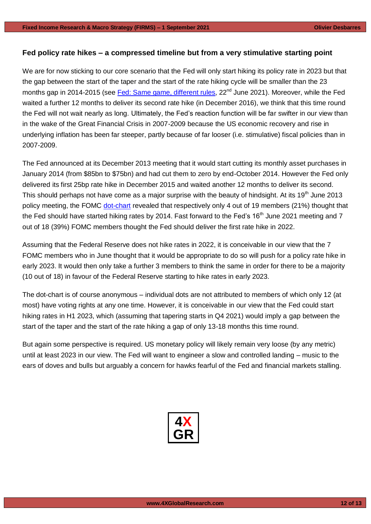## **Fed policy rate hikes – a compressed timeline but from a very stimulative starting point**

We are for now sticking to our core scenario that the Fed will only start hiking its policy rate in 2023 but that the gap between the start of the taper and the start of the rate hiking cycle will be smaller than the 23 months gap in 2014-2015 (see [Fed: Same game, different rules,](https://www.4xglobalresearch.com/wp-content/uploads/2021/06/4X-Global-Research_Fed_Same-game-different-rules.pdf) 22<sup>nd</sup> June 2021). Moreover, while the Fed waited a further 12 months to deliver its second rate hike (in December 2016), we think that this time round the Fed will not wait nearly as long. Ultimately, the Fed's reaction function will be far swifter in our view than in the wake of the Great Financial Crisis in 2007-2009 because the US economic recovery and rise in underlying inflation has been far steeper, partly because of far looser (i.e. stimulative) fiscal policies than in 2007-2009.

The Fed announced at its December 2013 meeting that it would start cutting its monthly asset purchases in January 2014 (from \$85bn to \$75bn) and had cut them to zero by end-October 2014. However the Fed only delivered its first 25bp rate hike in December 2015 and waited another 12 months to deliver its second. This should perhaps not have come as a major surprise with the beauty of hindsight. At its 19<sup>th</sup> June 2013 policy meeting, the FOMC [dot-chart](https://www.federalreserve.gov/monetarypolicy/files/FOMC20130619SEPcompilation.pdf) revealed that respectively only 4 out of 19 members (21%) thought that the Fed should have started hiking rates by 2014. Fast forward to the Fed's 16<sup>th</sup> June 2021 meeting and 7 out of 18 (39%) FOMC members thought the Fed should deliver the first rate hike in 2022.

Assuming that the Federal Reserve does not hike rates in 2022, it is conceivable in our view that the 7 FOMC members who in June thought that it would be appropriate to do so will push for a policy rate hike in early 2023. It would then only take a further 3 members to think the same in order for there to be a majority (10 out of 18) in favour of the Federal Reserve starting to hike rates in early 2023.

The dot-chart is of course anonymous – individual dots are not attributed to members of which only 12 (at most) have voting rights at any one time. However, it is conceivable in our view that the Fed could start hiking rates in H1 2023, which (assuming that tapering starts in Q4 2021) would imply a gap between the start of the taper and the start of the rate hiking a gap of only 13-18 months this time round.

But again some perspective is required. US monetary policy will likely remain very loose (by any metric) until at least 2023 in our view. The Fed will want to engineer a slow and controlled landing – music to the ears of doves and bulls but arguably a concern for hawks fearful of the Fed and financial markets stalling.

| 4             |
|---------------|
| $\frac{1}{4}$ |